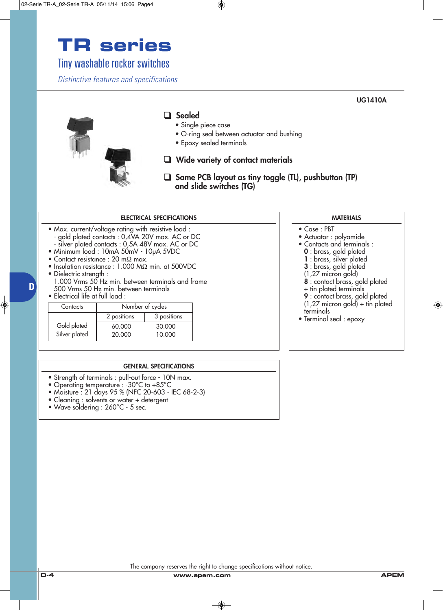# **TR series**

## Tiny washable rocker switches

*Distinctive features and specifications*

### ❑ **Sealed**

- Single piece case
- O-ring seal between actuator and bushing
- Epoxy sealed terminals

#### ❑ **Wide variety of contact materials**

❑ **Same PCB layout as tiny toggle (TL), pushbutton (TP) and slide switches (TG)**

**MATERIALS**

**UG1410A**

**8** : contact brass, gold plated

**9** : contact brass, gold plated (1,27 micron gold) + tin plated

• Case : PBT

terminals

• Actuator : polyamide • Contacts and terminals : **0** : brass, gold plated **1** : brass, silver plated **3** : brass, gold plated (1,27 micron gold)

+ tin plated terminals

• Terminal seal : epoxy

#### **ELECTRICAL SPECIFICATIONS**

• Max. current/voltage rating with resistive load : - gold plated contacts : 0,4VA 20V max. AC or DC - silver plated contacts : 0,5A 48V max. AC or DC

- Minimum load : 10mA 50mV 10µA 5VDC
- Contact resistance : 20 mΩ max.
- Insulation resistance : 1.000 MΩ min. at 500VDC
- Dielectric strength :

1.000 Vrms 50 Hz min. between terminals and frame 500 Vrms 50 Hz min. between terminals

• Electrical life at full load :

**D**

| Contacts      | Number of cycles |             |
|---------------|------------------|-------------|
|               | 2 positions      | 3 positions |
| Gold plated   | 60.000           | 30,000      |
| Silver plated | 20,000           | 10.000      |

#### **GENERAL SPECIFICATIONS**

- Strength of terminals : pull-out force 10N max.
- Operating temperature : -30°C to +85°C
- Moisture : 21 days 95 % (NFC 20-603 IEC 68-2-3)
- Cleaning : solvents or water + detergent
- Wave soldering : 260°C 5 sec.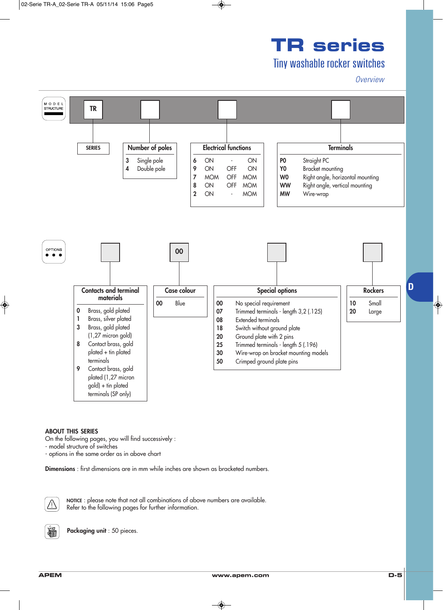# **TR series**

## Tiny washable rocker switches

#### *Overview*



#### **ABOUT THIS SERIES**

On the following pages, you will find successively :

- model structure of switches

- options in the same order as in above chart

**Dimensions** : first dimensions are in mm while inches are shown as bracketed numbers.



**NOTICE** : please note that not all combinations of above numbers are available. Refer to the following pages for further information.



**Packaging unit** : 50 pieces.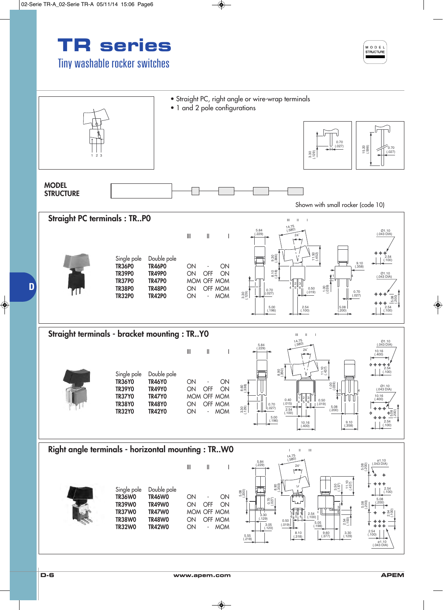



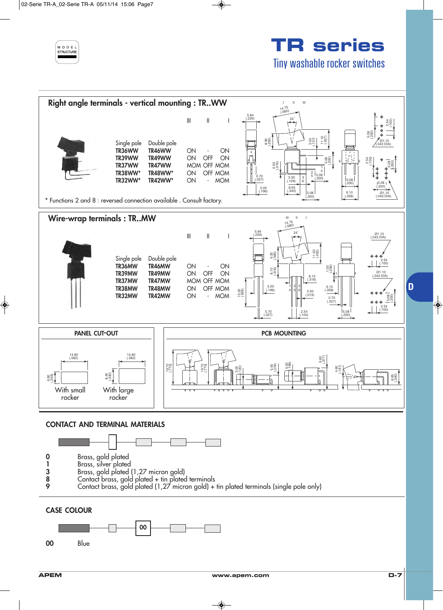

# **TR series** Tiny washable rocker switches

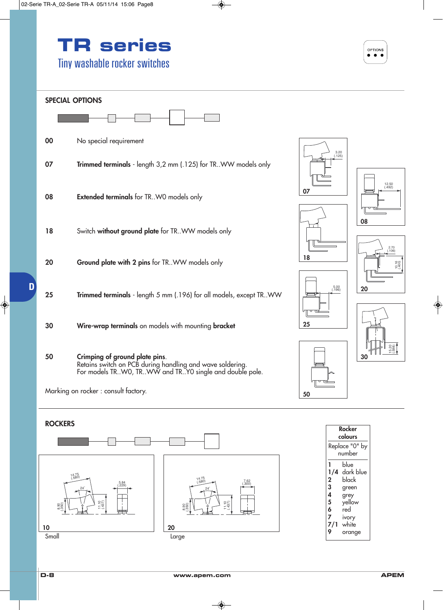

#### **SPECIAL OPTIONS**





### **ROCKERS**

**D**











**18**







| colours                                     |                                                                                              |  |
|---------------------------------------------|----------------------------------------------------------------------------------------------|--|
| Replace "0" by                              |                                                                                              |  |
| number                                      |                                                                                              |  |
| 1<br>2<br>3<br>4<br>5<br>6<br>7<br>7/1<br>Q | blue<br>1/4 dark blue<br>black<br>green<br>grey<br>yellow<br>red<br>ivory<br>white<br>orange |  |

**Rocker**